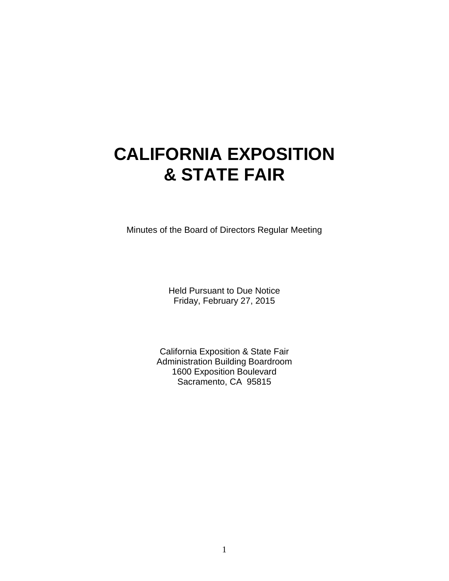# **CALIFORNIA EXPOSITION & STATE FAIR**

Minutes of the Board of Directors Regular Meeting

Held Pursuant to Due Notice Friday, February 27, 2015

California Exposition & State Fair Administration Building Boardroom 1600 Exposition Boulevard Sacramento, CA 95815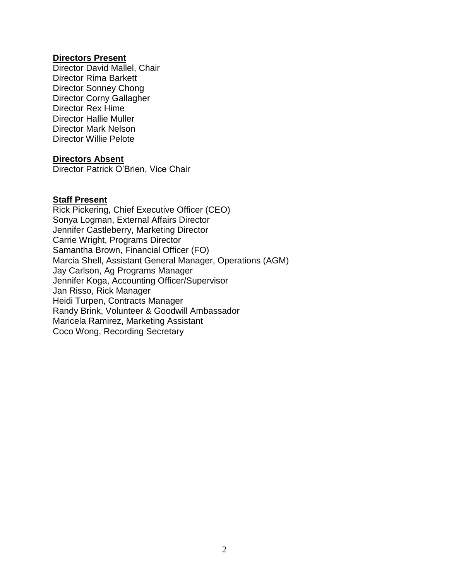#### **Directors Present**

Director David Mallel, Chair Director Rima Barkett Director Sonney Chong Director Corny Gallagher Director Rex Hime Director Hallie Muller Director Mark Nelson Director Willie Pelote

#### **Directors Absent**

Director Patrick O'Brien, Vice Chair

#### **Staff Present**

Rick Pickering, Chief Executive Officer (CEO) Sonya Logman, External Affairs Director Jennifer Castleberry, Marketing Director Carrie Wright, Programs Director Samantha Brown, Financial Officer (FO) Marcia Shell, Assistant General Manager, Operations (AGM) Jay Carlson, Ag Programs Manager Jennifer Koga, Accounting Officer/Supervisor Jan Risso, Rick Manager Heidi Turpen, Contracts Manager Randy Brink, Volunteer & Goodwill Ambassador Maricela Ramirez, Marketing Assistant Coco Wong, Recording Secretary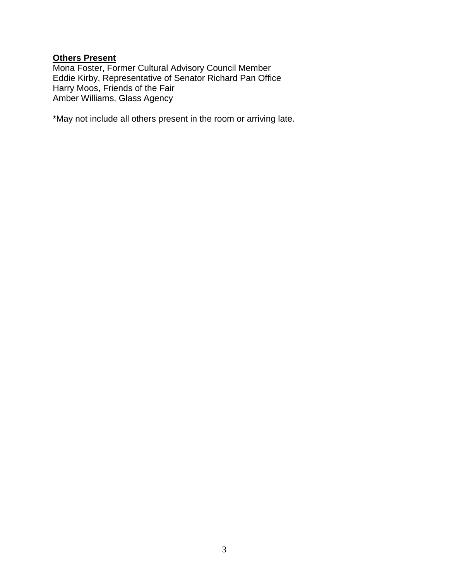# **Others Present**

Mona Foster, Former Cultural Advisory Council Member Eddie Kirby, Representative of Senator Richard Pan Office Harry Moos, Friends of the Fair Amber Williams, Glass Agency

\*May not include all others present in the room or arriving late.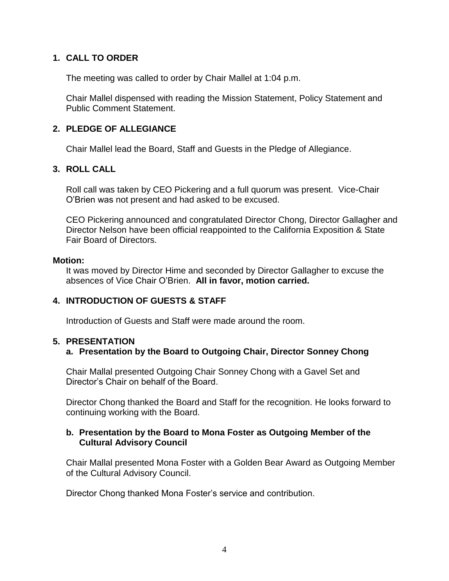## **1. CALL TO ORDER**

The meeting was called to order by Chair Mallel at 1:04 p.m.

Chair Mallel dispensed with reading the Mission Statement, Policy Statement and Public Comment Statement.

## **2. PLEDGE OF ALLEGIANCE**

Chair Mallel lead the Board, Staff and Guests in the Pledge of Allegiance.

## **3. ROLL CALL**

Roll call was taken by CEO Pickering and a full quorum was present. Vice-Chair O'Brien was not present and had asked to be excused.

CEO Pickering announced and congratulated Director Chong, Director Gallagher and Director Nelson have been official reappointed to the California Exposition & State Fair Board of Directors.

#### **Motion:**

It was moved by Director Hime and seconded by Director Gallagher to excuse the absences of Vice Chair O'Brien. **All in favor, motion carried.**

## **4. INTRODUCTION OF GUESTS & STAFF**

Introduction of Guests and Staff were made around the room.

## **5. PRESENTATION**

## **a. Presentation by the Board to Outgoing Chair, Director Sonney Chong**

Chair Mallal presented Outgoing Chair Sonney Chong with a Gavel Set and Director's Chair on behalf of the Board.

Director Chong thanked the Board and Staff for the recognition. He looks forward to continuing working with the Board.

## **b. Presentation by the Board to Mona Foster as Outgoing Member of the Cultural Advisory Council**

Chair Mallal presented Mona Foster with a Golden Bear Award as Outgoing Member of the Cultural Advisory Council.

Director Chong thanked Mona Foster's service and contribution.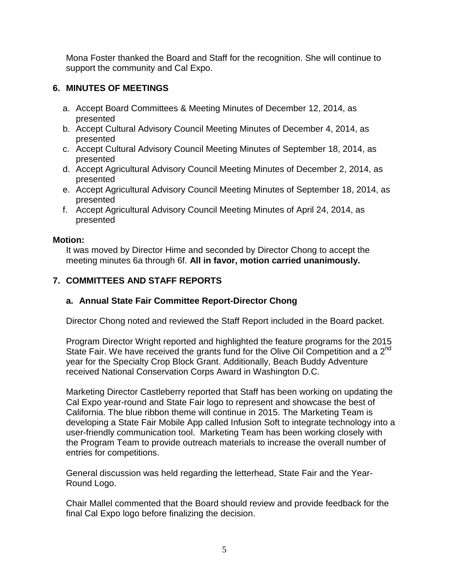Mona Foster thanked the Board and Staff for the recognition. She will continue to support the community and Cal Expo.

# **6. MINUTES OF MEETINGS**

- a. Accept Board Committees & Meeting Minutes of December 12, 2014, as presented
- b. Accept Cultural Advisory Council Meeting Minutes of December 4, 2014, as presented
- c. Accept Cultural Advisory Council Meeting Minutes of September 18, 2014, as presented
- d. Accept Agricultural Advisory Council Meeting Minutes of December 2, 2014, as presented
- e. Accept Agricultural Advisory Council Meeting Minutes of September 18, 2014, as presented
- f. Accept Agricultural Advisory Council Meeting Minutes of April 24, 2014, as presented

## **Motion:**

It was moved by Director Hime and seconded by Director Chong to accept the meeting minutes 6a through 6f. **All in favor, motion carried unanimously.**

# **7. COMMITTEES AND STAFF REPORTS**

# **a. Annual State Fair Committee Report-Director Chong**

Director Chong noted and reviewed the Staff Report included in the Board packet.

Program Director Wright reported and highlighted the feature programs for the 2015 State Fair. We have received the grants fund for the Olive Oil Competition and a  $2^{nd}$ year for the Specialty Crop Block Grant. Additionally, Beach Buddy Adventure received National Conservation Corps Award in Washington D.C.

Marketing Director Castleberry reported that Staff has been working on updating the Cal Expo year-round and State Fair logo to represent and showcase the best of California. The blue ribbon theme will continue in 2015. The Marketing Team is developing a State Fair Mobile App called Infusion Soft to integrate technology into a user-friendly communication tool. Marketing Team has been working closely with the Program Team to provide outreach materials to increase the overall number of entries for competitions.

General discussion was held regarding the letterhead, State Fair and the Year-Round Logo.

Chair Mallel commented that the Board should review and provide feedback for the final Cal Expo logo before finalizing the decision.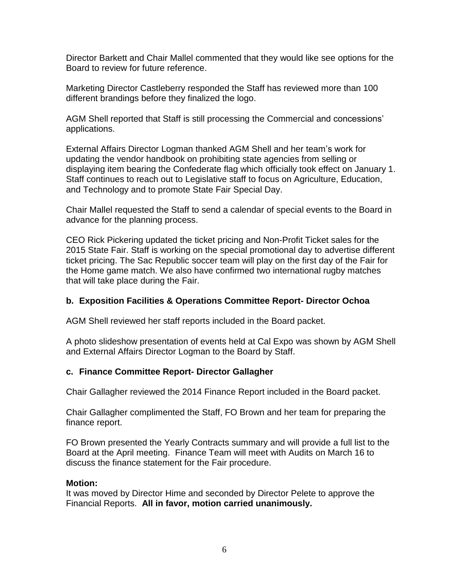Director Barkett and Chair Mallel commented that they would like see options for the Board to review for future reference.

Marketing Director Castleberry responded the Staff has reviewed more than 100 different brandings before they finalized the logo.

AGM Shell reported that Staff is still processing the Commercial and concessions' applications.

External Affairs Director Logman thanked AGM Shell and her team's work for updating the vendor handbook on prohibiting state agencies from selling or displaying item bearing the Confederate flag which officially took effect on January 1. Staff continues to reach out to Legislative staff to focus on Agriculture, Education, and Technology and to promote State Fair Special Day.

Chair Mallel requested the Staff to send a calendar of special events to the Board in advance for the planning process.

CEO Rick Pickering updated the ticket pricing and Non-Profit Ticket sales for the 2015 State Fair. Staff is working on the special promotional day to advertise different ticket pricing. The Sac Republic soccer team will play on the first day of the Fair for the Home game match. We also have confirmed two international rugby matches that will take place during the Fair.

## **b. Exposition Facilities & Operations Committee Report- Director Ochoa**

AGM Shell reviewed her staff reports included in the Board packet.

A photo slideshow presentation of events held at Cal Expo was shown by AGM Shell and External Affairs Director Logman to the Board by Staff.

## **c. Finance Committee Report- Director Gallagher**

Chair Gallagher reviewed the 2014 Finance Report included in the Board packet.

Chair Gallagher complimented the Staff, FO Brown and her team for preparing the finance report.

FO Brown presented the Yearly Contracts summary and will provide a full list to the Board at the April meeting. Finance Team will meet with Audits on March 16 to discuss the finance statement for the Fair procedure.

## **Motion:**

It was moved by Director Hime and seconded by Director Pelete to approve the Financial Reports. **All in favor, motion carried unanimously.**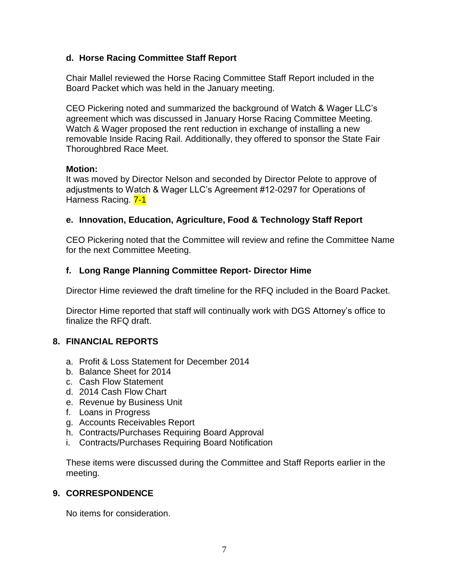## **d. Horse Racing Committee Staff Report**

Chair Mallel reviewed the Horse Racing Committee Staff Report included in the Board Packet which was held in the January meeting.

CEO Pickering noted and summarized the background of Watch & Wager LLC's agreement which was discussed in January Horse Racing Committee Meeting. Watch & Wager proposed the rent reduction in exchange of installing a new removable Inside Racing Rail. Additionally, they offered to sponsor the State Fair Thoroughbred Race Meet.

## **Motion:**

It was moved by Director Nelson and seconded by Director Pelote to approve of adjustments to Watch & Wager LLC's Agreement #12-0297 for Operations of Harness Racing. 7-1

## **e. Innovation, Education, Agriculture, Food & Technology Staff Report**

CEO Pickering noted that the Committee will review and refine the Committee Name for the next Committee Meeting.

## **f. Long Range Planning Committee Report- Director Hime**

Director Hime reviewed the draft timeline for the RFQ included in the Board Packet.

Director Hime reported that staff will continually work with DGS Attorney's office to finalize the RFQ draft.

## **8. FINANCIAL REPORTS**

- a. Profit & Loss Statement for December 2014
- b. Balance Sheet for 2014
- c. Cash Flow Statement
- d. 2014 Cash Flow Chart
- e. Revenue by Business Unit
- f. Loans in Progress
- g. Accounts Receivables Report
- h. Contracts/Purchases Requiring Board Approval
- i. Contracts/Purchases Requiring Board Notification

These items were discussed during the Committee and Staff Reports earlier in the meeting.

## **9. CORRESPONDENCE**

No items for consideration.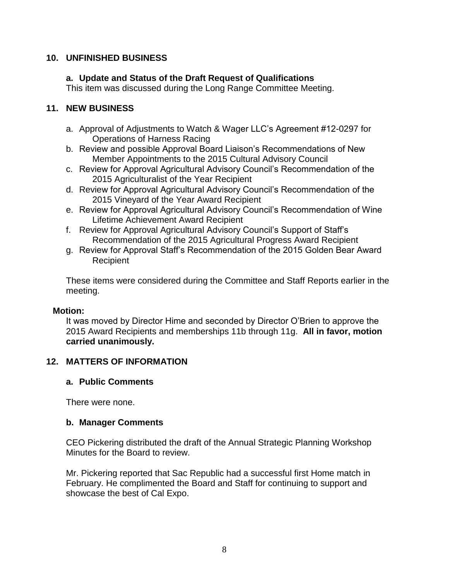## **10. UNFINISHED BUSINESS**

## **a. Update and Status of the Draft Request of Qualifications**

This item was discussed during the Long Range Committee Meeting.

## **11. NEW BUSINESS**

- a. Approval of Adjustments to Watch & Wager LLC's Agreement #12-0297 for Operations of Harness Racing
- b. Review and possible Approval Board Liaison's Recommendations of New Member Appointments to the 2015 Cultural Advisory Council
- c. Review for Approval Agricultural Advisory Council's Recommendation of the 2015 Agriculturalist of the Year Recipient
- d. Review for Approval Agricultural Advisory Council's Recommendation of the 2015 Vineyard of the Year Award Recipient
- e. Review for Approval Agricultural Advisory Council's Recommendation of Wine Lifetime Achievement Award Recipient
- f. Review for Approval Agricultural Advisory Council's Support of Staff's Recommendation of the 2015 Agricultural Progress Award Recipient
- g. Review for Approval Staff's Recommendation of the 2015 Golden Bear Award Recipient

These items were considered during the Committee and Staff Reports earlier in the meeting.

## **Motion:**

It was moved by Director Hime and seconded by Director O'Brien to approve the 2015 Award Recipients and memberships 11b through 11g. **All in favor, motion carried unanimously.**

## **12. MATTERS OF INFORMATION**

## **a. Public Comments**

There were none.

## **b. Manager Comments**

CEO Pickering distributed the draft of the Annual Strategic Planning Workshop Minutes for the Board to review.

Mr. Pickering reported that Sac Republic had a successful first Home match in February. He complimented the Board and Staff for continuing to support and showcase the best of Cal Expo.